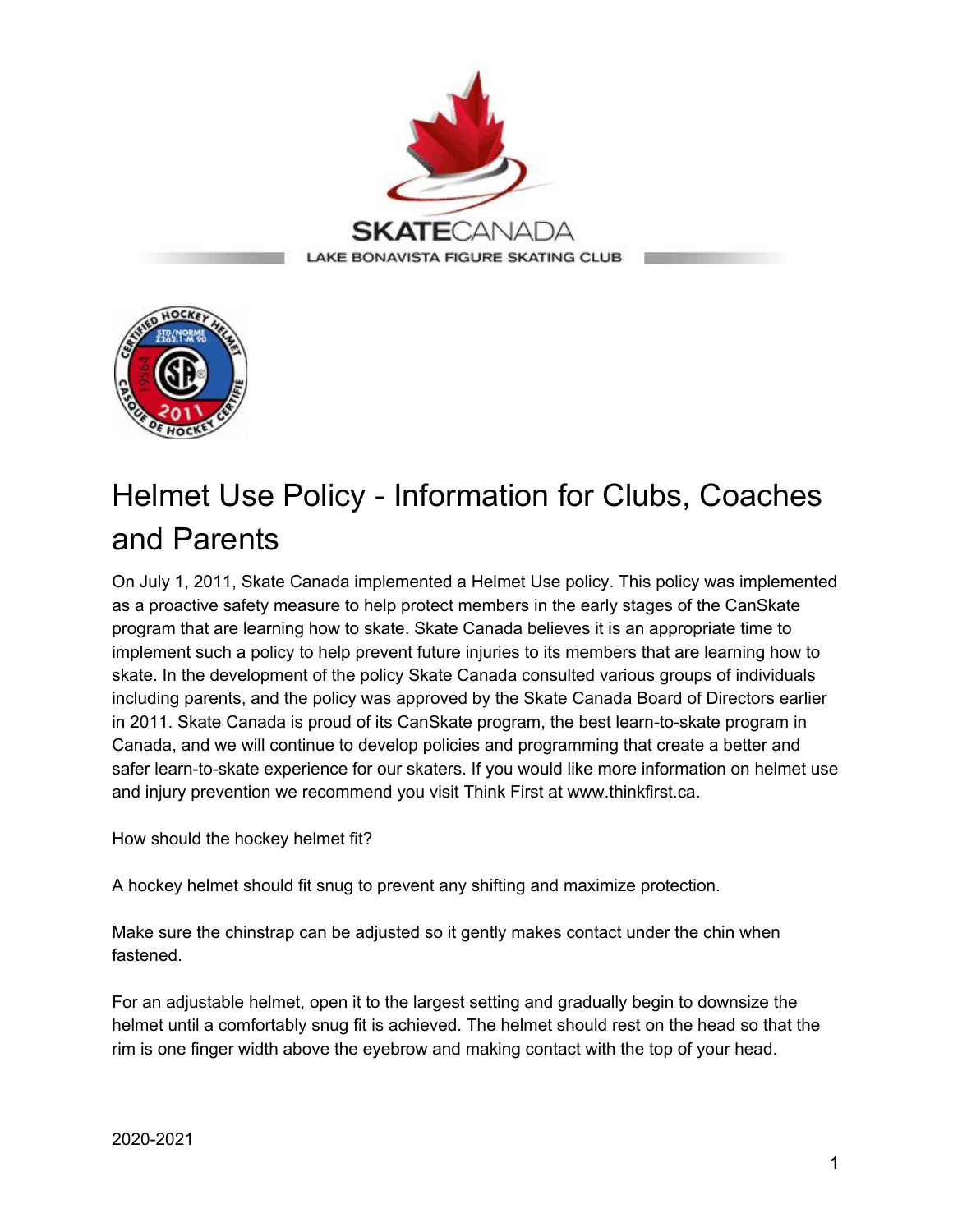



## Helmet Use Policy - Information for Clubs, Coaches and Parents

On July 1, 2011, Skate Canada implemented a Helmet Use policy. This policy was implemented as a proactive safety measure to help protect members in the early stages of the CanSkate program that are learning how to skate. Skate Canada believes it is an appropriate time to implement such a policy to help prevent future injuries to its members that are learning how to skate. In the development of the policy Skate Canada consulted various groups of individuals including parents, and the policy was approved by the Skate Canada Board of Directors earlier in 2011. Skate Canada is proud of its CanSkate program, the best learn-to-skate program in Canada, and we will continue to develop policies and programming that create a better and safer learn-to-skate experience for our skaters. If you would like more information on helmet use and injury prevention we recommend you visit Think First at www.thinkfirst.ca.

How should the hockey helmet fit?

A hockey helmet should fit snug to prevent any shifting and maximize protection.

Make sure the chinstrap can be adjusted so it gently makes contact under the chin when fastened.

For an adjustable helmet, open it to the largest setting and gradually begin to downsize the helmet until a comfortably snug fit is achieved. The helmet should rest on the head so that the rim is one finger width above the eyebrow and making contact with the top of your head.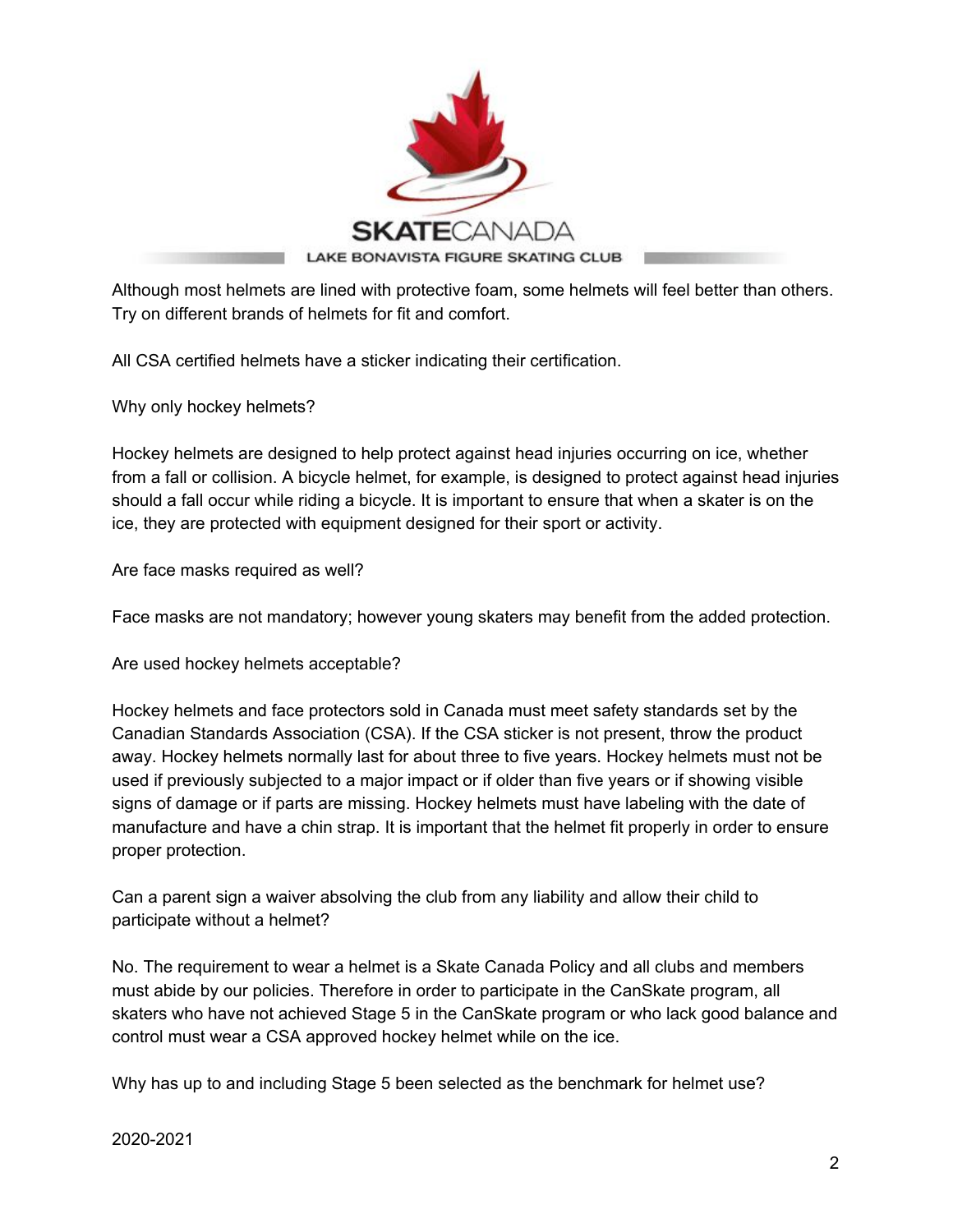

Although most helmets are lined with protective foam, some helmets will feel better than others. Try on different brands of helmets for fit and comfort.

All CSA certified helmets have a sticker indicating their certification.

Why only hockey helmets?

Hockey helmets are designed to help protect against head injuries occurring on ice, whether from a fall or collision. A bicycle helmet, for example, is designed to protect against head injuries should a fall occur while riding a bicycle. It is important to ensure that when a skater is on the ice, they are protected with equipment designed for their sport or activity.

Are face masks required as well?

Face masks are not mandatory; however young skaters may benefit from the added protection.

Are used hockey helmets acceptable?

Hockey helmets and face protectors sold in Canada must meet safety standards set by the Canadian Standards Association (CSA). If the CSA sticker is not present, throw the product away. Hockey helmets normally last for about three to five years. Hockey helmets must not be used if previously subjected to a major impact or if older than five years or if showing visible signs of damage or if parts are missing. Hockey helmets must have labeling with the date of manufacture and have a chin strap. It is important that the helmet fit properly in order to ensure proper protection.

Can a parent sign a waiver absolving the club from any liability and allow their child to participate without a helmet?

No. The requirement to wear a helmet is a Skate Canada Policy and all clubs and members must abide by our policies. Therefore in order to participate in the CanSkate program, all skaters who have not achieved Stage 5 in the CanSkate program or who lack good balance and control must wear a CSA approved hockey helmet while on the ice.

Why has up to and including Stage 5 been selected as the benchmark for helmet use?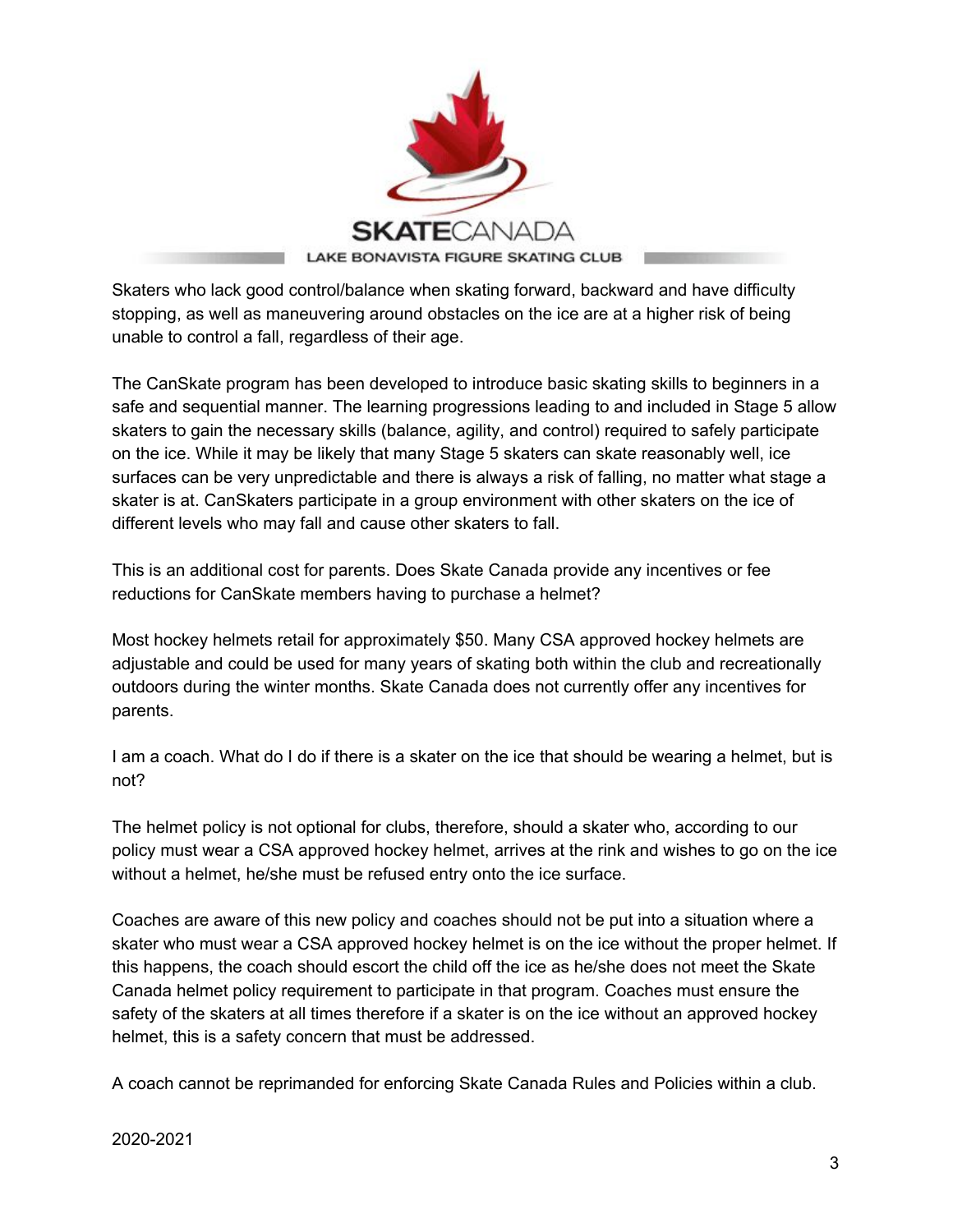

Skaters who lack good control/balance when skating forward, backward and have difficulty stopping, as well as maneuvering around obstacles on the ice are at a higher risk of being unable to control a fall, regardless of their age.

The CanSkate program has been developed to introduce basic skating skills to beginners in a safe and sequential manner. The learning progressions leading to and included in Stage 5 allow skaters to gain the necessary skills (balance, agility, and control) required to safely participate on the ice. While it may be likely that many Stage 5 skaters can skate reasonably well, ice surfaces can be very unpredictable and there is always a risk of falling, no matter what stage a skater is at. CanSkaters participate in a group environment with other skaters on the ice of different levels who may fall and cause other skaters to fall.

This is an additional cost for parents. Does Skate Canada provide any incentives or fee reductions for CanSkate members having to purchase a helmet?

Most hockey helmets retail for approximately \$50. Many CSA approved hockey helmets are adjustable and could be used for many years of skating both within the club and recreationally outdoors during the winter months. Skate Canada does not currently offer any incentives for parents.

I am a coach. What do I do if there is a skater on the ice that should be wearing a helmet, but is not?

The helmet policy is not optional for clubs, therefore, should a skater who, according to our policy must wear a CSA approved hockey helmet, arrives at the rink and wishes to go on the ice without a helmet, he/she must be refused entry onto the ice surface.

Coaches are aware of this new policy and coaches should not be put into a situation where a skater who must wear a CSA approved hockey helmet is on the ice without the proper helmet. If this happens, the coach should escort the child off the ice as he/she does not meet the Skate Canada helmet policy requirement to participate in that program. Coaches must ensure the safety of the skaters at all times therefore if a skater is on the ice without an approved hockey helmet, this is a safety concern that must be addressed.

A coach cannot be reprimanded for enforcing Skate Canada Rules and Policies within a club.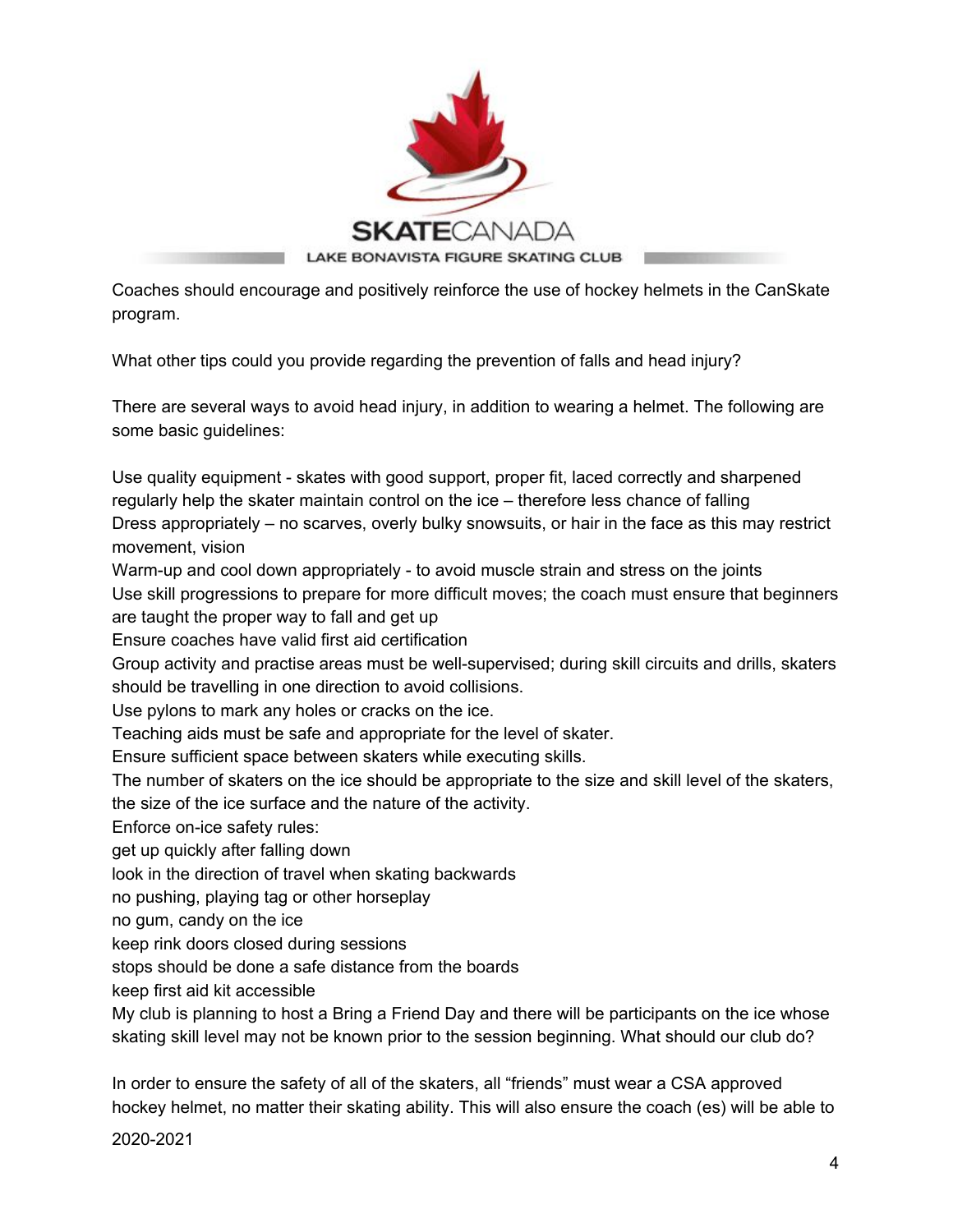

Coaches should encourage and positively reinforce the use of hockey helmets in the CanSkate program.

What other tips could you provide regarding the prevention of falls and head injury?

There are several ways to avoid head injury, in addition to wearing a helmet. The following are some basic guidelines:

Use quality equipment - skates with good support, proper fit, laced correctly and sharpened regularly help the skater maintain control on the ice – therefore less chance of falling Dress appropriately – no scarves, overly bulky snowsuits, or hair in the face as this may restrict movement, vision

Warm-up and cool down appropriately - to avoid muscle strain and stress on the joints Use skill progressions to prepare for more difficult moves; the coach must ensure that beginners are taught the proper way to fall and get up

Ensure coaches have valid first aid certification

Group activity and practise areas must be well-supervised; during skill circuits and drills, skaters should be travelling in one direction to avoid collisions.

Use pylons to mark any holes or cracks on the ice.

Teaching aids must be safe and appropriate for the level of skater.

Ensure sufficient space between skaters while executing skills.

The number of skaters on the ice should be appropriate to the size and skill level of the skaters,

the size of the ice surface and the nature of the activity.

Enforce on-ice safety rules:

get up quickly after falling down

look in the direction of travel when skating backwards

no pushing, playing tag or other horseplay

no gum, candy on the ice

keep rink doors closed during sessions

stops should be done a safe distance from the boards

keep first aid kit accessible

My club is planning to host a Bring a Friend Day and there will be participants on the ice whose skating skill level may not be known prior to the session beginning. What should our club do?

In order to ensure the safety of all of the skaters, all "friends" must wear a CSA approved hockey helmet, no matter their skating ability. This will also ensure the coach (es) will be able to

2020-2021